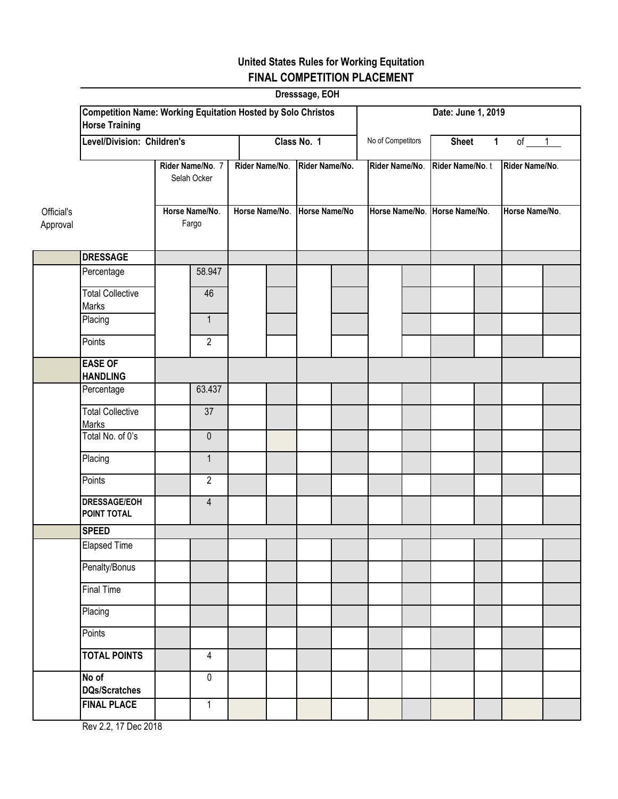|                        |                                                                                              |                         |                                  |             |                                 | Dresssage, EOH    |                |              |                                                   |        |                                  |  |  |
|------------------------|----------------------------------------------------------------------------------------------|-------------------------|----------------------------------|-------------|---------------------------------|-------------------|----------------|--------------|---------------------------------------------------|--------|----------------------------------|--|--|
|                        | <b>Competition Name: Working Equitation Hosted by Solo Christos</b><br><b>Horse Training</b> |                         |                                  |             |                                 |                   |                |              | Date: June 1, 2019                                |        |                                  |  |  |
|                        | Level/Division: Children's                                                                   |                         |                                  | Class No. 1 |                                 | No of Competitors |                | <b>Sheet</b> | $\mathbf{1}$                                      | of $1$ |                                  |  |  |
|                        | Rider Name/No. 7<br>Selah Ocker                                                              |                         | Rider Name/No.<br>Horse Name/No. |             | Rider Name/No.<br>Horse Name/No |                   | Rider Name/No. |              | Rider Name/No. t<br>Horse Name/No. Horse Name/No. |        | Rider Name/No.<br>Horse Name/No. |  |  |
| Official's<br>Approval |                                                                                              | Horse Name/No.<br>Fargo |                                  |             |                                 |                   |                |              |                                                   |        |                                  |  |  |
|                        | <b>DRESSAGE</b>                                                                              |                         |                                  |             |                                 |                   |                |              |                                                   |        |                                  |  |  |
|                        | Percentage                                                                                   |                         | 58.947                           |             |                                 |                   |                |              |                                                   |        |                                  |  |  |
|                        | <b>Total Collective</b><br>Marks                                                             |                         | 46                               |             |                                 |                   |                |              |                                                   |        |                                  |  |  |
|                        | Placing                                                                                      |                         | $\mathbf{1}$                     |             |                                 |                   |                |              |                                                   |        |                                  |  |  |
|                        | Points                                                                                       |                         | $\overline{2}$                   |             |                                 |                   |                |              |                                                   |        |                                  |  |  |
|                        | <b>EASE OF</b><br><b>HANDLING</b>                                                            |                         |                                  |             |                                 |                   |                |              |                                                   |        |                                  |  |  |
|                        | Percentage                                                                                   |                         | 63.437                           |             |                                 |                   |                |              |                                                   |        |                                  |  |  |
|                        | <b>Total Collective</b><br>Marks                                                             |                         | 37                               |             |                                 |                   |                |              |                                                   |        |                                  |  |  |
|                        | Total No. of 0's                                                                             |                         | $\mathbf 0$                      |             |                                 |                   |                |              |                                                   |        |                                  |  |  |
|                        | Placing                                                                                      |                         | $\mathbf{1}$                     |             |                                 |                   |                |              |                                                   |        |                                  |  |  |
|                        | Points                                                                                       |                         | $\overline{2}$                   |             |                                 |                   |                |              |                                                   |        |                                  |  |  |
|                        | <b>DRESSAGE/EOH</b><br>POINT TOTAL                                                           |                         | $\overline{4}$                   |             |                                 |                   |                |              |                                                   |        |                                  |  |  |
|                        | <b>SPEED</b>                                                                                 |                         |                                  |             |                                 |                   |                |              |                                                   |        |                                  |  |  |
|                        | <b>Elapsed Time</b>                                                                          |                         |                                  |             |                                 |                   |                |              |                                                   |        |                                  |  |  |
|                        | Penalty/Bonus                                                                                |                         |                                  |             |                                 |                   |                |              |                                                   |        |                                  |  |  |
|                        | <b>Final Time</b>                                                                            |                         |                                  |             |                                 |                   |                |              |                                                   |        |                                  |  |  |
|                        | Placing                                                                                      |                         |                                  |             |                                 |                   |                |              |                                                   |        |                                  |  |  |
|                        | Points                                                                                       |                         |                                  |             |                                 |                   |                |              |                                                   |        |                                  |  |  |
|                        | <b>TOTAL POINTS</b>                                                                          |                         | $\overline{4}$                   |             |                                 |                   |                |              |                                                   |        |                                  |  |  |
|                        | No of<br><b>DQs/Scratches</b>                                                                |                         | $\overline{0}$                   |             |                                 |                   |                |              |                                                   |        |                                  |  |  |
|                        | <b>FINAL PLACE</b>                                                                           |                         | $\mathbf{1}$                     |             |                                 |                   |                |              |                                                   |        |                                  |  |  |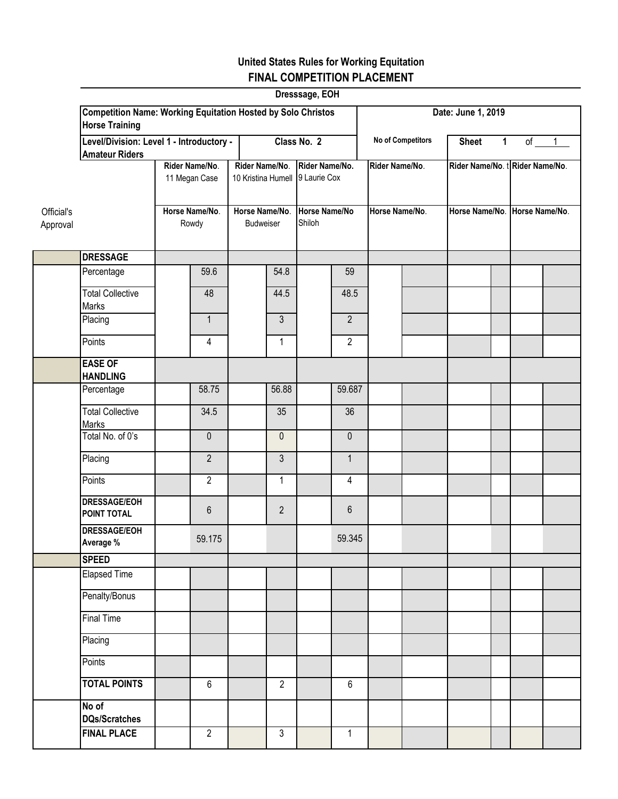|            | Dresssage, EOH<br><b>Competition Name: Working Equitation Hosted by Solo Christos</b><br>Date: June 1, 2019 |       |                                 |           |                                                   |        |                   |              |                |                                |                               |  |  |  |
|------------|-------------------------------------------------------------------------------------------------------------|-------|---------------------------------|-----------|---------------------------------------------------|--------|-------------------|--------------|----------------|--------------------------------|-------------------------------|--|--|--|
|            | <b>Horse Training</b>                                                                                       |       |                                 |           |                                                   |        |                   |              |                |                                |                               |  |  |  |
|            | Level/Division: Level 1 - Introductory -<br><b>Amateur Riders</b>                                           |       | Class No. 2                     |           |                                                   |        | No of Competitors | <b>Sheet</b> | $\mathbf 1$    |                                | of $1$                        |  |  |  |
|            |                                                                                                             |       | Rider Name/No.<br>11 Megan Case |           | Rider Name/No.<br>10 Kristina Humell 9 Laurie Cox |        | Rider Name/No.    |              | Rider Name/No. | Rider Name/No. tRider Name/No. |                               |  |  |  |
| Official's | Horse Name/No.                                                                                              |       | Horse Name/No.                  |           | Horse Name/No                                     |        | Horse Name/No.    |              |                |                                | Horse Name/No. Horse Name/No. |  |  |  |
| Approval   |                                                                                                             | Rowdy |                                 | Budweiser |                                                   | Shiloh |                   |              |                |                                |                               |  |  |  |
|            | <b>DRESSAGE</b>                                                                                             |       |                                 |           |                                                   |        |                   |              |                |                                |                               |  |  |  |
|            | Percentage                                                                                                  |       | 59.6                            |           | 54.8                                              |        | 59                |              |                |                                |                               |  |  |  |
|            | <b>Total Collective</b><br>Marks                                                                            |       | 48                              |           | 44.5                                              |        | 48.5              |              |                |                                |                               |  |  |  |
|            | Placing                                                                                                     |       | $\mathbf{1}$                    |           | 3                                                 |        | $\overline{2}$    |              |                |                                |                               |  |  |  |
|            | Points                                                                                                      |       | $\overline{4}$                  |           | $\mathbf{1}$                                      |        | $\overline{2}$    |              |                |                                |                               |  |  |  |
|            | <b>EASE OF</b><br><b>HANDLING</b>                                                                           |       |                                 |           |                                                   |        |                   |              |                |                                |                               |  |  |  |
|            | Percentage                                                                                                  |       | 58.75                           |           | 56.88                                             |        | 59.687            |              |                |                                |                               |  |  |  |
|            | <b>Total Collective</b><br>Marks                                                                            |       | 34.5                            |           | 35                                                |        | $\overline{36}$   |              |                |                                |                               |  |  |  |
|            | Total No. of 0's                                                                                            |       | $\pmb{0}$                       |           | $\mathbf{0}$                                      |        | $\mathbf 0$       |              |                |                                |                               |  |  |  |
|            | Placing                                                                                                     |       | $\overline{2}$                  |           | $\mathfrak{Z}$                                    |        | $\mathbf{1}$      |              |                |                                |                               |  |  |  |
|            | Points                                                                                                      |       | $\overline{2}$                  |           | 1                                                 |        | 4                 |              |                |                                |                               |  |  |  |
|            | <b>DRESSAGE/EOH</b><br><b>POINT TOTAL</b>                                                                   |       | $6\phantom{1}$                  |           | $\overline{2}$                                    |        | 6                 |              |                |                                |                               |  |  |  |
|            | <b>DRESSAGE/EOH</b><br>Average %                                                                            |       | 59.175                          |           |                                                   |        | 59.345            |              |                |                                |                               |  |  |  |
|            | <b>SPEED</b>                                                                                                |       |                                 |           |                                                   |        |                   |              |                |                                |                               |  |  |  |
|            | <b>Elapsed Time</b>                                                                                         |       |                                 |           |                                                   |        |                   |              |                |                                |                               |  |  |  |
|            | Penalty/Bonus                                                                                               |       |                                 |           |                                                   |        |                   |              |                |                                |                               |  |  |  |
|            | <b>Final Time</b>                                                                                           |       |                                 |           |                                                   |        |                   |              |                |                                |                               |  |  |  |
|            | Placing                                                                                                     |       |                                 |           |                                                   |        |                   |              |                |                                |                               |  |  |  |
|            | <b>Points</b>                                                                                               |       | $6\phantom{a}$                  |           |                                                   |        | $6\phantom{a}$    |              |                |                                |                               |  |  |  |
|            | <b>TOTAL POINTS</b><br>No of                                                                                |       |                                 |           | $\overline{2}$                                    |        |                   |              |                |                                |                               |  |  |  |
|            | <b>DQs/Scratches</b>                                                                                        |       |                                 |           |                                                   |        |                   |              |                |                                |                               |  |  |  |
|            | <b>FINAL PLACE</b>                                                                                          |       | $\overline{2}$                  |           | $\mathfrak{Z}$                                    |        | 1                 |              |                |                                |                               |  |  |  |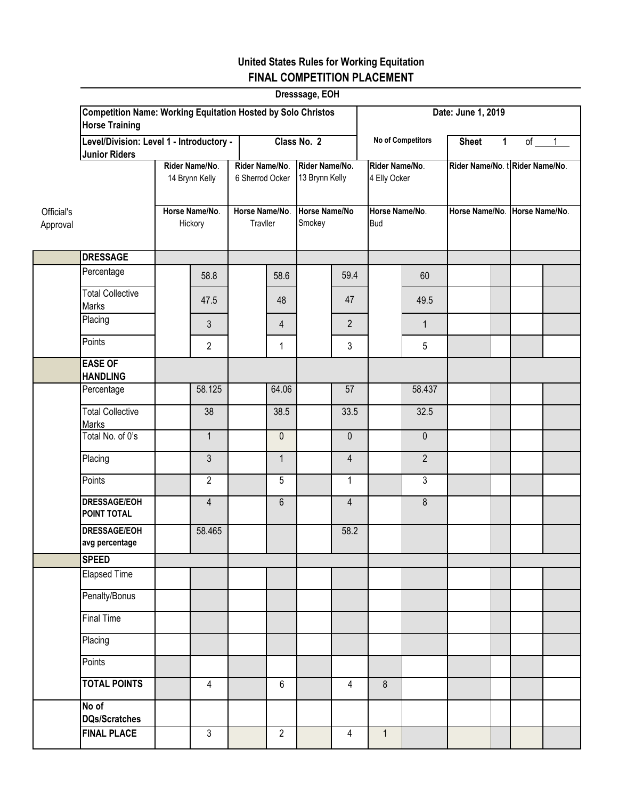|                        | Dresssage, EOH<br><b>Competition Name: Working Equitation Hosted by Solo Christos</b> |  |                                  |                                   |                            |                                  |                |                                |                   |                                 |  |  |        |  |
|------------------------|---------------------------------------------------------------------------------------|--|----------------------------------|-----------------------------------|----------------------------|----------------------------------|----------------|--------------------------------|-------------------|---------------------------------|--|--|--------|--|
|                        | <b>Horse Training</b>                                                                 |  |                                  |                                   |                            |                                  |                | Date: June 1, 2019             |                   |                                 |  |  |        |  |
|                        | Level/Division: Level 1 - Introductory -<br><b>Junior Riders</b>                      |  |                                  |                                   | Class No. 2                |                                  |                |                                | No of Competitors | <b>Sheet</b><br>$\mathbf 1$     |  |  | of $1$ |  |
|                        |                                                                                       |  | Rider Name/No.<br>14 Brynn Kelly | Rider Name/No.<br>6 Sherrod Ocker |                            | Rider Name/No.<br>13 Brynn Kelly |                | Rider Name/No.<br>4 Elly Ocker |                   | Rider Name/No. t Rider Name/No. |  |  |        |  |
| Official's<br>Approval |                                                                                       |  | Horse Name/No.<br>Hickory        |                                   | Horse Name/No.<br>Travller |                                  | Horse Name/No  | Horse Name/No.<br><b>Bud</b>   |                   | Horse Name/No. Horse Name/No.   |  |  |        |  |
|                        | <b>DRESSAGE</b>                                                                       |  |                                  |                                   |                            |                                  |                |                                |                   |                                 |  |  |        |  |
|                        | Percentage                                                                            |  | 58.8                             |                                   | 58.6                       |                                  | 59.4           |                                | 60                |                                 |  |  |        |  |
|                        | <b>Total Collective</b><br><b>Marks</b>                                               |  | 47.5                             |                                   | 48                         |                                  | 47             |                                | 49.5              |                                 |  |  |        |  |
|                        | Placing                                                                               |  | 3                                |                                   | $\overline{4}$             |                                  | $\overline{2}$ |                                | $\mathbf{1}$      |                                 |  |  |        |  |
|                        | Points                                                                                |  | $\overline{2}$                   |                                   | 1                          |                                  | 3              |                                | 5                 |                                 |  |  |        |  |
|                        | <b>EASE OF</b><br><b>HANDLING</b>                                                     |  |                                  |                                   |                            |                                  |                |                                |                   |                                 |  |  |        |  |
|                        | Percentage                                                                            |  | 58.125                           |                                   | 64.06                      |                                  | 57             |                                | 58.437            |                                 |  |  |        |  |
|                        | <b>Total Collective</b><br><b>Marks</b>                                               |  | $\overline{38}$                  |                                   | 38.5                       |                                  | 33.5           |                                | 32.5              |                                 |  |  |        |  |
|                        | Total No. of 0's                                                                      |  | $\mathbf{1}$                     |                                   | $\mathbf 0$                |                                  | 0              |                                | $\mathbf 0$       |                                 |  |  |        |  |
|                        | Placing                                                                               |  | $\overline{3}$                   |                                   | $\mathbf{1}$               |                                  | $\overline{4}$ |                                | $\overline{2}$    |                                 |  |  |        |  |
|                        | Points                                                                                |  | $\overline{2}$                   |                                   | 5                          |                                  | 1              |                                | 3                 |                                 |  |  |        |  |
|                        | <b>DRESSAGE/EOH</b><br>POINT TOTAL                                                    |  | $\overline{4}$                   |                                   | $6\phantom{1}$             |                                  | $\overline{4}$ |                                | 8                 |                                 |  |  |        |  |
|                        | <b>DRESSAGE/EOH</b><br>avg percentage                                                 |  | 58.465                           |                                   |                            |                                  | 58.2           |                                |                   |                                 |  |  |        |  |
|                        | <b>SPEED</b>                                                                          |  |                                  |                                   |                            |                                  |                |                                |                   |                                 |  |  |        |  |
|                        | <b>Elapsed Time</b>                                                                   |  |                                  |                                   |                            |                                  |                |                                |                   |                                 |  |  |        |  |
|                        | Penalty/Bonus                                                                         |  |                                  |                                   |                            |                                  |                |                                |                   |                                 |  |  |        |  |
|                        | <b>Final Time</b>                                                                     |  |                                  |                                   |                            |                                  |                |                                |                   |                                 |  |  |        |  |
|                        | Placing                                                                               |  |                                  |                                   |                            |                                  |                |                                |                   |                                 |  |  |        |  |
|                        | Points                                                                                |  |                                  |                                   |                            |                                  |                |                                |                   |                                 |  |  |        |  |
|                        | <b>TOTAL POINTS</b>                                                                   |  | $\overline{4}$                   |                                   | $6\phantom{a}$             |                                  | 4              | 8                              |                   |                                 |  |  |        |  |
|                        | No of<br><b>DQs/Scratches</b>                                                         |  |                                  |                                   |                            |                                  |                |                                |                   |                                 |  |  |        |  |
|                        | <b>FINAL PLACE</b>                                                                    |  | $\overline{3}$                   |                                   | $\overline{2}$             |                                  | 4              | 1                              |                   |                                 |  |  |        |  |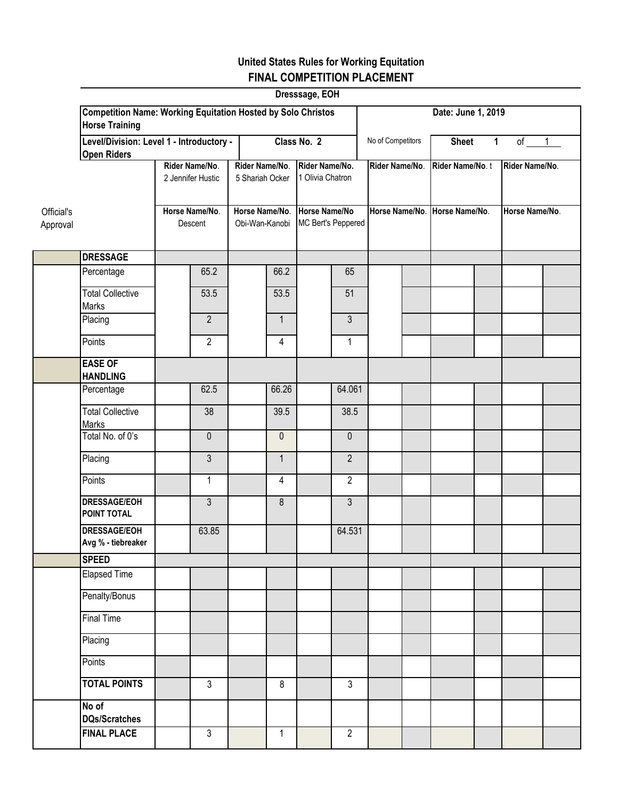|                        | Dresssage, EOH<br><b>Competition Name: Working Equitation Hosted by Solo Christos</b> |                           |                                     |  |                                   |  |                                     |  |                               |                    |                             |                |  |  |
|------------------------|---------------------------------------------------------------------------------------|---------------------------|-------------------------------------|--|-----------------------------------|--|-------------------------------------|--|-------------------------------|--------------------|-----------------------------|----------------|--|--|
|                        | <b>Horse Training</b>                                                                 |                           |                                     |  |                                   |  |                                     |  |                               | Date: June 1, 2019 |                             |                |  |  |
|                        | Level/Division: Level 1 - Introductory -<br><b>Open Riders</b>                        |                           |                                     |  | Class No. 2                       |  |                                     |  | No of Competitors             |                    | <b>Sheet</b><br>$\mathbf 1$ | of $1$         |  |  |
|                        |                                                                                       |                           | Rider Name/No.<br>2 Jennifer Hustic |  | Rider Name/No.<br>5 Shariah Ocker |  | Rider Name/No.<br>1 Olivia Chatron  |  | Rider Name/No.                | Rider Name/No.t    |                             | Rider Name/No. |  |  |
|                        |                                                                                       |                           |                                     |  |                                   |  |                                     |  |                               |                    |                             |                |  |  |
| Official's<br>Approval |                                                                                       | Horse Name/No.<br>Descent |                                     |  | Horse Name/No.<br>Obi-Wan-Kanobi  |  | Horse Name/No<br>MC Bert's Peppered |  | Horse Name/No. Horse Name/No. |                    |                             | Horse Name/No. |  |  |
|                        | <b>DRESSAGE</b>                                                                       |                           |                                     |  |                                   |  |                                     |  |                               |                    |                             |                |  |  |
|                        | Percentage                                                                            |                           | 65.2                                |  | 66.2                              |  | 65                                  |  |                               |                    |                             |                |  |  |
|                        | <b>Total Collective</b><br>Marks                                                      |                           | 53.5                                |  | 53.5                              |  | 51                                  |  |                               |                    |                             |                |  |  |
|                        | Placing                                                                               |                           | $\overline{2}$                      |  | $\mathbf{1}$                      |  | 3                                   |  |                               |                    |                             |                |  |  |
|                        | Points                                                                                |                           | $\overline{2}$                      |  | 4                                 |  | 1                                   |  |                               |                    |                             |                |  |  |
|                        | <b>EASE OF</b><br><b>HANDLING</b>                                                     |                           |                                     |  |                                   |  |                                     |  |                               |                    |                             |                |  |  |
|                        | Percentage                                                                            |                           | 62.5                                |  | 66.26                             |  | 64.061                              |  |                               |                    |                             |                |  |  |
|                        | <b>Total Collective</b><br>Marks                                                      |                           | 38                                  |  | 39.5                              |  | 38.5                                |  |                               |                    |                             |                |  |  |
|                        | Total No. of 0's                                                                      |                           | $\pmb{0}$                           |  | $\mathbf{0}$                      |  | $\mathbf 0$                         |  |                               |                    |                             |                |  |  |
|                        | Placing                                                                               |                           | $\mathfrak{Z}$                      |  | $\mathbf{1}$                      |  | $\overline{2}$                      |  |                               |                    |                             |                |  |  |
|                        | Points                                                                                |                           | $\mathbf{1}$                        |  | 4                                 |  | $\overline{2}$                      |  |                               |                    |                             |                |  |  |
|                        | <b>DRESSAGE/EOH</b><br><b>POINT TOTAL</b>                                             |                           | $\mathfrak{Z}$                      |  | 8                                 |  | $\overline{3}$                      |  |                               |                    |                             |                |  |  |
|                        | <b>DRESSAGE/EOH</b><br>Avg % - tiebreaker                                             |                           | 63.85                               |  |                                   |  | 64.531                              |  |                               |                    |                             |                |  |  |
|                        | <b>SPEED</b>                                                                          |                           |                                     |  |                                   |  |                                     |  |                               |                    |                             |                |  |  |
|                        | <b>Elapsed Time</b>                                                                   |                           |                                     |  |                                   |  |                                     |  |                               |                    |                             |                |  |  |
|                        | Penalty/Bonus                                                                         |                           |                                     |  |                                   |  |                                     |  |                               |                    |                             |                |  |  |
|                        | <b>Final Time</b>                                                                     |                           |                                     |  |                                   |  |                                     |  |                               |                    |                             |                |  |  |
|                        | Placing                                                                               |                           |                                     |  |                                   |  |                                     |  |                               |                    |                             |                |  |  |
|                        | Points                                                                                |                           |                                     |  |                                   |  |                                     |  |                               |                    |                             |                |  |  |
|                        | <b>TOTAL POINTS</b>                                                                   |                           | $\overline{3}$                      |  | 8                                 |  | $\overline{3}$                      |  |                               |                    |                             |                |  |  |
|                        | No of<br><b>DQs/Scratches</b>                                                         |                           |                                     |  |                                   |  |                                     |  |                               |                    |                             |                |  |  |
|                        | <b>FINAL PLACE</b>                                                                    |                           | $\overline{3}$                      |  | $\mathbf{1}$                      |  | $\overline{2}$                      |  |                               |                    |                             |                |  |  |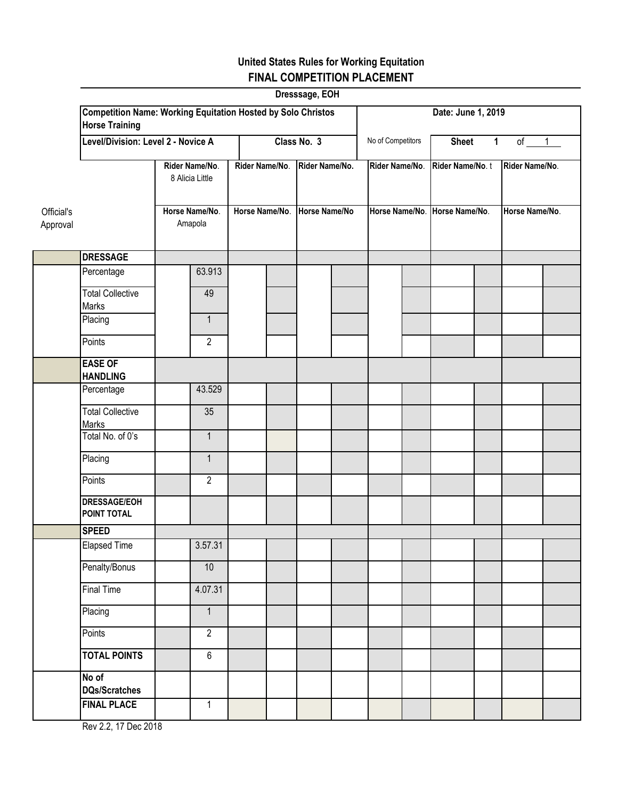| Dresssage, EOH         |                                                                                              |                           |                                  |  |                                 |  |                    |              |                                                  |        |                                  |  |  |  |
|------------------------|----------------------------------------------------------------------------------------------|---------------------------|----------------------------------|--|---------------------------------|--|--------------------|--------------|--------------------------------------------------|--------|----------------------------------|--|--|--|
|                        | <b>Competition Name: Working Equitation Hosted by Solo Christos</b><br><b>Horse Training</b> |                           |                                  |  |                                 |  | Date: June 1, 2019 |              |                                                  |        |                                  |  |  |  |
|                        | Level/Division: Level 2 - Novice A                                                           |                           | Class No. 3                      |  |                                 |  | No of Competitors  | <b>Sheet</b> | $\mathbf 1$                                      | of $1$ |                                  |  |  |  |
|                        | Rider Name/No.<br>8 Alicia Little                                                            |                           | Rider Name/No.<br>Horse Name/No. |  | Rider Name/No.<br>Horse Name/No |  | Rider Name/No.     |              | Rider Name/No.t<br>Horse Name/No. Horse Name/No. |        | Rider Name/No.<br>Horse Name/No. |  |  |  |
| Official's<br>Approval |                                                                                              | Horse Name/No.<br>Amapola |                                  |  |                                 |  |                    |              |                                                  |        |                                  |  |  |  |
|                        | <b>DRESSAGE</b>                                                                              |                           |                                  |  |                                 |  |                    |              |                                                  |        |                                  |  |  |  |
|                        | Percentage                                                                                   |                           | 63.913                           |  |                                 |  |                    |              |                                                  |        |                                  |  |  |  |
|                        | <b>Total Collective</b><br><b>Marks</b>                                                      |                           | 49                               |  |                                 |  |                    |              |                                                  |        |                                  |  |  |  |
|                        | Placing                                                                                      |                           | $\mathbf{1}$                     |  |                                 |  |                    |              |                                                  |        |                                  |  |  |  |
|                        | Points                                                                                       |                           | $\overline{2}$                   |  |                                 |  |                    |              |                                                  |        |                                  |  |  |  |
|                        | <b>EASE OF</b><br><b>HANDLING</b>                                                            |                           |                                  |  |                                 |  |                    |              |                                                  |        |                                  |  |  |  |
|                        | Percentage                                                                                   |                           | 43.529                           |  |                                 |  |                    |              |                                                  |        |                                  |  |  |  |
|                        | <b>Total Collective</b><br>Marks                                                             |                           | 35                               |  |                                 |  |                    |              |                                                  |        |                                  |  |  |  |
|                        | Total No. of 0's                                                                             |                           | $\mathbf{1}$                     |  |                                 |  |                    |              |                                                  |        |                                  |  |  |  |
|                        | Placing                                                                                      |                           | $\mathbf{1}$                     |  |                                 |  |                    |              |                                                  |        |                                  |  |  |  |
|                        | Points                                                                                       |                           | $\overline{2}$                   |  |                                 |  |                    |              |                                                  |        |                                  |  |  |  |
|                        | <b>DRESSAGE/EOH</b><br><b>POINT TOTAL</b>                                                    |                           |                                  |  |                                 |  |                    |              |                                                  |        |                                  |  |  |  |
|                        | <b>SPEED</b>                                                                                 |                           |                                  |  |                                 |  |                    |              |                                                  |        |                                  |  |  |  |
|                        | <b>Elapsed Time</b>                                                                          |                           | 3.57.31                          |  |                                 |  |                    |              |                                                  |        |                                  |  |  |  |
|                        | Penalty/Bonus                                                                                |                           | 10                               |  |                                 |  |                    |              |                                                  |        |                                  |  |  |  |
|                        | <b>Final Time</b>                                                                            |                           | 4.07.31                          |  |                                 |  |                    |              |                                                  |        |                                  |  |  |  |
|                        | Placing                                                                                      |                           | $\mathbf{1}$                     |  |                                 |  |                    |              |                                                  |        |                                  |  |  |  |
|                        | Points<br><b>TOTAL POINTS</b>                                                                |                           | $\overline{2}$<br>$\overline{6}$ |  |                                 |  |                    |              |                                                  |        |                                  |  |  |  |
|                        | No of                                                                                        |                           |                                  |  |                                 |  |                    |              |                                                  |        |                                  |  |  |  |
|                        | <b>DQs/Scratches</b>                                                                         |                           |                                  |  |                                 |  |                    |              |                                                  |        |                                  |  |  |  |
|                        | <b>FINAL PLACE</b>                                                                           |                           | $\mathbf{1}$                     |  |                                 |  |                    |              |                                                  |        |                                  |  |  |  |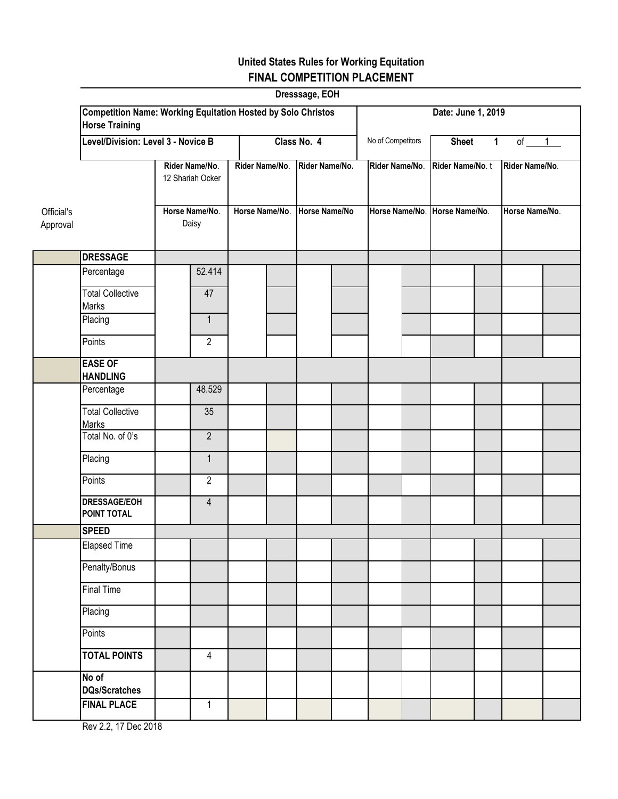|                        | Dresssage, EOH                                                                               |                         |                                  |             |                                 |                   |                |              |                               |                    |                |  |  |  |
|------------------------|----------------------------------------------------------------------------------------------|-------------------------|----------------------------------|-------------|---------------------------------|-------------------|----------------|--------------|-------------------------------|--------------------|----------------|--|--|--|
|                        | <b>Competition Name: Working Equitation Hosted by Solo Christos</b><br><b>Horse Training</b> |                         |                                  |             |                                 |                   |                |              |                               | Date: June 1, 2019 |                |  |  |  |
|                        | Level/Division: Level 3 - Novice B                                                           |                         |                                  | Class No. 4 |                                 | No of Competitors |                | <b>Sheet</b> | 1                             | of $1$             |                |  |  |  |
|                        | Rider Name/No.<br>12 Shariah Ocker                                                           |                         | Rider Name/No.<br>Horse Name/No. |             | Rider Name/No.<br>Horse Name/No |                   | Rider Name/No. |              | Rider Name/No.t               |                    | Rider Name/No. |  |  |  |
| Official's<br>Approval |                                                                                              | Horse Name/No.<br>Daisy |                                  |             |                                 |                   |                |              | Horse Name/No. Horse Name/No. |                    | Horse Name/No. |  |  |  |
|                        | <b>DRESSAGE</b>                                                                              |                         |                                  |             |                                 |                   |                |              |                               |                    |                |  |  |  |
|                        | Percentage                                                                                   |                         | 52.414                           |             |                                 |                   |                |              |                               |                    |                |  |  |  |
|                        | <b>Total Collective</b><br>Marks                                                             |                         | 47                               |             |                                 |                   |                |              |                               |                    |                |  |  |  |
|                        | Placing                                                                                      |                         | $\mathbf{1}$                     |             |                                 |                   |                |              |                               |                    |                |  |  |  |
|                        | Points                                                                                       |                         | $\overline{2}$                   |             |                                 |                   |                |              |                               |                    |                |  |  |  |
|                        | <b>EASE OF</b><br><b>HANDLING</b>                                                            |                         |                                  |             |                                 |                   |                |              |                               |                    |                |  |  |  |
|                        | Percentage                                                                                   |                         | 48.529                           |             |                                 |                   |                |              |                               |                    |                |  |  |  |
|                        | <b>Total Collective</b><br>Marks                                                             |                         | 35                               |             |                                 |                   |                |              |                               |                    |                |  |  |  |
|                        | Total No. of 0's                                                                             |                         | $\overline{2}$                   |             |                                 |                   |                |              |                               |                    |                |  |  |  |
|                        | Placing                                                                                      |                         | $\mathbf{1}$                     |             |                                 |                   |                |              |                               |                    |                |  |  |  |
|                        | Points                                                                                       |                         | $\overline{2}$                   |             |                                 |                   |                |              |                               |                    |                |  |  |  |
|                        | <b>DRESSAGE/EOH</b><br><b>POINT TOTAL</b>                                                    |                         | $\overline{4}$                   |             |                                 |                   |                |              |                               |                    |                |  |  |  |
|                        | <b>SPEED</b>                                                                                 |                         |                                  |             |                                 |                   |                |              |                               |                    |                |  |  |  |
|                        | Elapsed Time                                                                                 |                         |                                  |             |                                 |                   |                |              |                               |                    |                |  |  |  |
|                        | Penalty/Bonus                                                                                |                         |                                  |             |                                 |                   |                |              |                               |                    |                |  |  |  |
|                        | <b>Final Time</b>                                                                            |                         |                                  |             |                                 |                   |                |              |                               |                    |                |  |  |  |
|                        | Placing                                                                                      |                         |                                  |             |                                 |                   |                |              |                               |                    |                |  |  |  |
|                        | <b>Points</b><br><b>TOTAL POINTS</b>                                                         |                         | $\overline{4}$                   |             |                                 |                   |                |              |                               |                    |                |  |  |  |
|                        | No of                                                                                        |                         |                                  |             |                                 |                   |                |              |                               |                    |                |  |  |  |
|                        | <b>DQs/Scratches</b>                                                                         |                         |                                  |             |                                 |                   |                |              |                               |                    |                |  |  |  |
|                        | <b>FINAL PLACE</b>                                                                           |                         | $\mathbf{1}$                     |             |                                 |                   |                |              |                               |                    |                |  |  |  |